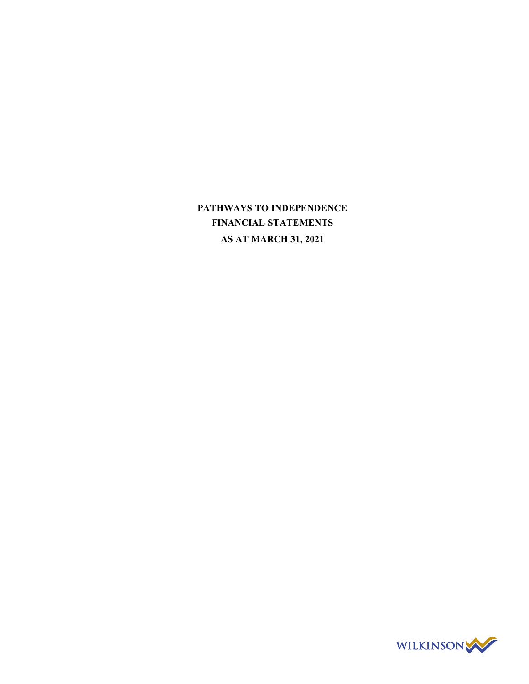**PATHWAYS TO INDEPENDENCE FINANCIAL STATEMENTS AS AT MARCH 31, 2021**

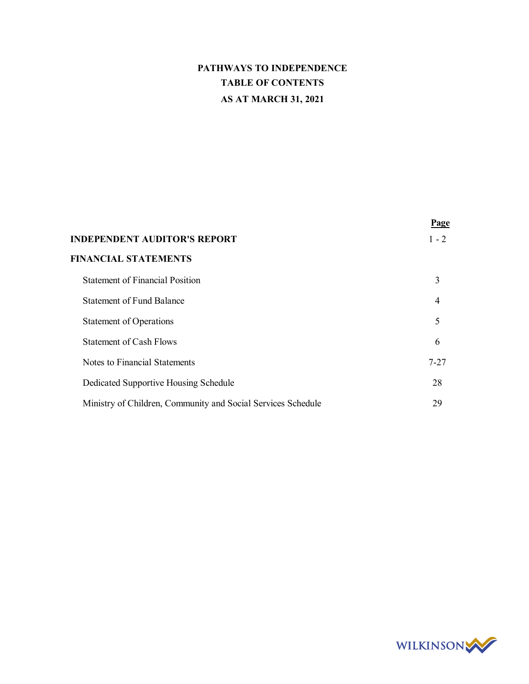# **PATHWAYS TO INDEPENDENCE TABLE OF CONTENTS AS AT MARCH 31, 2021**

|                                                              | Page     |
|--------------------------------------------------------------|----------|
| <b>INDEPENDENT AUDITOR'S REPORT</b>                          | $1 - 2$  |
| <b>FINANCIAL STATEMENTS</b>                                  |          |
| <b>Statement of Financial Position</b>                       | 3        |
| <b>Statement of Fund Balance</b>                             | 4        |
| <b>Statement of Operations</b>                               | 5        |
| <b>Statement of Cash Flows</b>                               | 6        |
| Notes to Financial Statements                                | $7 - 27$ |
| Dedicated Supportive Housing Schedule                        | 28       |
| Ministry of Children, Community and Social Services Schedule | 29       |

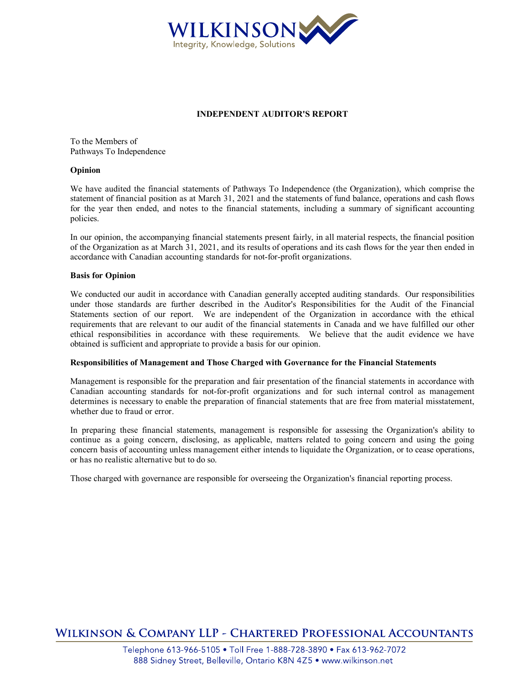

## **INDEPENDENT AUDITOR'S REPORT**

To the Members of Pathways To Independence

### **Opinion**

We have audited the financial statements of Pathways To Independence (the Organization), which comprise the statement of financial position as at March 31, 2021 and the statements of fund balance, operations and cash flows for the year then ended, and notes to the financial statements, including a summary of significant accounting policies.

In our opinion, the accompanying financial statements present fairly, in all material respects, the financial position of the Organization as at March 31, 2021, and its results of operations and its cash flows for the year then ended in accordance with Canadian accounting standards for not-for-profit organizations.

### **Basis for Opinion**

We conducted our audit in accordance with Canadian generally accepted auditing standards. Our responsibilities under those standards are further described in the Auditor's Responsibilities for the Audit of the Financial Statements section of our report. We are independent of the Organization in accordance with the ethical requirements that are relevant to our audit of the financial statements in Canada and we have fulfilled our other ethical responsibilities in accordance with these requirements. We believe that the audit evidence we have obtained is sufficient and appropriate to provide a basis for our opinion.

#### **Responsibilities of Management and Those Charged with Governance for the Financial Statements**

Management is responsible for the preparation and fair presentation of the financial statements in accordance with Canadian accounting standards for not-for-profit organizations and for such internal control as management determines is necessary to enable the preparation of financial statements that are free from material misstatement, whether due to fraud or error.

In preparing these financial statements, management is responsible for assessing the Organization's ability to continue as a going concern, disclosing, as applicable, matters related to going concern and using the going concern basis of accounting unless management either intends to liquidate the Organization, or to cease operations, or has no realistic alternative but to do so.

Those charged with governance are responsible for overseeing the Organization's financial reporting process.

**WILKINSON & COMPANY LLP - CHARTERED PROFESSIONAL ACCOUNTANTS**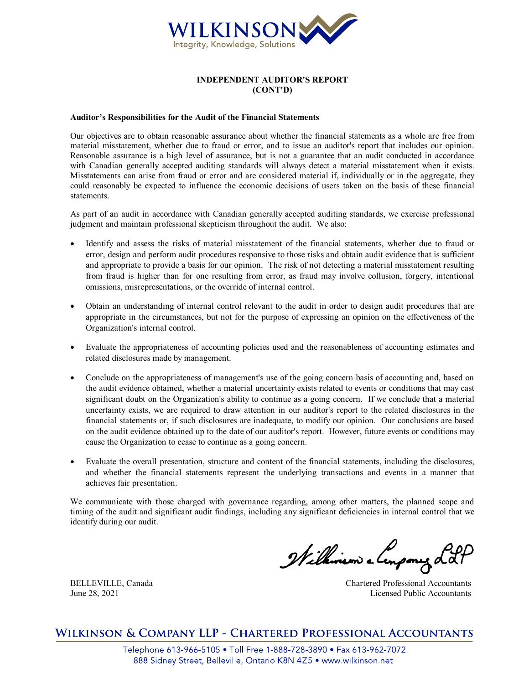

### **INDEPENDENT AUDITOR'S REPORT (CONT'D)**

### **Auditor's Responsibilities for the Audit of the Financial Statements**

Our objectives are to obtain reasonable assurance about whether the financial statements as a whole are free from material misstatement, whether due to fraud or error, and to issue an auditor's report that includes our opinion. Reasonable assurance is a high level of assurance, but is not a guarantee that an audit conducted in accordance with Canadian generally accepted auditing standards will always detect a material misstatement when it exists. Misstatements can arise from fraud or error and are considered material if, individually or in the aggregate, they could reasonably be expected to influence the economic decisions of users taken on the basis of these financial statements.

As part of an audit in accordance with Canadian generally accepted auditing standards, we exercise professional judgment and maintain professional skepticism throughout the audit. We also:

- Identify and assess the risks of material misstatement of the financial statements, whether due to fraud or error, design and perform audit procedures responsive to those risks and obtain audit evidence that is sufficient and appropriate to provide a basis for our opinion. The risk of not detecting a material misstatement resulting from fraud is higher than for one resulting from error, as fraud may involve collusion, forgery, intentional omissions, misrepresentations, or the override of internal control.
- · Obtain an understanding of internal control relevant to the audit in order to design audit procedures that are appropriate in the circumstances, but not for the purpose of expressing an opinion on the effectiveness of the Organization's internal control.
- · Evaluate the appropriateness of accounting policies used and the reasonableness of accounting estimates and related disclosures made by management.
- Conclude on the appropriateness of management's use of the going concern basis of accounting and, based on the audit evidence obtained, whether a material uncertainty exists related to events or conditions that may cast significant doubt on the Organization's ability to continue as a going concern. If we conclude that a material uncertainty exists, we are required to draw attention in our auditor's report to the related disclosures in the financial statements or, if such disclosures are inadequate, to modify our opinion. Our conclusions are based on the audit evidence obtained up to the date of our auditor's report. However, future events or conditions may cause the Organization to cease to continue as a going concern.
- Evaluate the overall presentation, structure and content of the financial statements, including the disclosures, and whether the financial statements represent the underlying transactions and events in a manner that achieves fair presentation.

We communicate with those charged with governance regarding, among other matters, the planned scope and timing of the audit and significant audit findings, including any significant deficiencies in internal control that we identify during our audit.

Wilhimson e lenpony Lot

BELLEVILLE, Canada Chartered Professional Accountants June 28, 2021 Licensed Public Accountants

WILKINSON & COMPANY LLP - CHARTERED PROFESSIONAL ACCOUNTANTS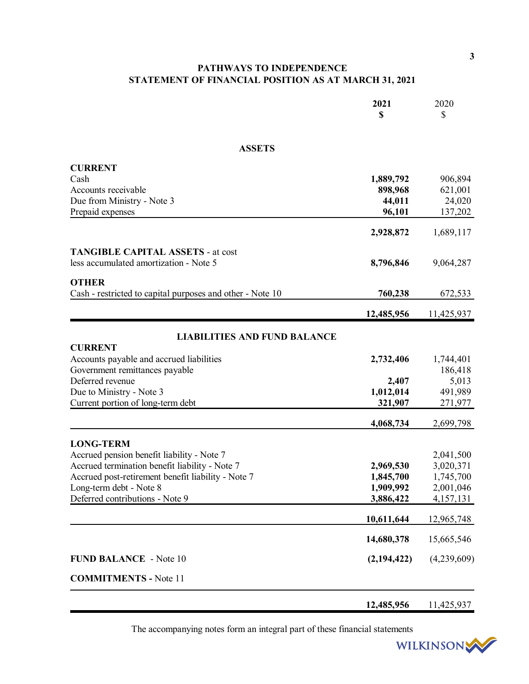# **PATHWAYS TO INDEPENDENCE STATEMENT OF FINANCIAL POSITION AS AT MARCH 31, 2021**

|                                                           | 2021          | 2020        |
|-----------------------------------------------------------|---------------|-------------|
|                                                           | \$            | \$          |
|                                                           |               |             |
| <b>ASSETS</b>                                             |               |             |
| <b>CURRENT</b>                                            |               |             |
| Cash                                                      | 1,889,792     | 906,894     |
| Accounts receivable                                       | 898,968       | 621,001     |
| Due from Ministry - Note 3                                | 44,011        | 24,020      |
| Prepaid expenses                                          | 96,101        | 137,202     |
|                                                           | 2,928,872     | 1,689,117   |
| <b>TANGIBLE CAPITAL ASSETS - at cost</b>                  |               |             |
| less accumulated amortization - Note 5                    | 8,796,846     | 9,064,287   |
| <b>OTHER</b>                                              |               |             |
| Cash - restricted to capital purposes and other - Note 10 | 760,238       | 672,533     |
|                                                           | 12,485,956    | 11,425,937  |
| <b>LIABILITIES AND FUND BALANCE</b>                       |               |             |
| <b>CURRENT</b>                                            |               |             |
| Accounts payable and accrued liabilities                  | 2,732,406     | 1,744,401   |
| Government remittances payable                            |               | 186,418     |
| Deferred revenue                                          | 2,407         | 5,013       |
| Due to Ministry - Note 3                                  | 1,012,014     | 491,989     |
| Current portion of long-term debt                         | 321,907       | 271,977     |
|                                                           | 4,068,734     | 2,699,798   |
| <b>LONG-TERM</b>                                          |               |             |
| Accrued pension benefit liability - Note 7                |               | 2,041,500   |
| Accrued termination benefit liability - Note 7            | 2,969,530     | 3,020,371   |
| Accrued post-retirement benefit liability - Note 7        | 1,845,700     | 1,745,700   |
| Long-term debt - Note 8                                   | 1,909,992     | 2,001,046   |
| Deferred contributions - Note 9                           | 3,886,422     | 4,157,131   |
|                                                           | 10,611,644    | 12,965,748  |
|                                                           | 14,680,378    | 15,665,546  |
| <b>FUND BALANCE</b> - Note 10                             | (2, 194, 422) | (4,239,609) |
| <b>COMMITMENTS - Note 11</b>                              |               |             |
|                                                           | 12,485,956    | 11,425,937  |

The accompanying notes form an integral part of these financial statements

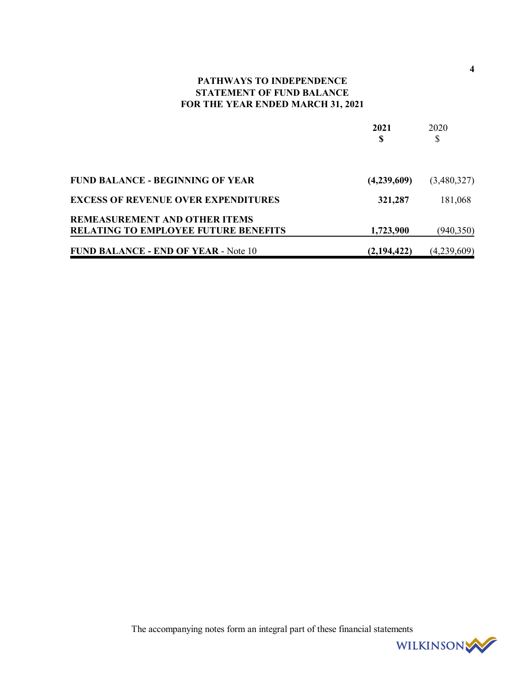# **PATHWAYS TO INDEPENDENCE STATEMENT OF FUND BALANCE FOR THE YEAR ENDED MARCH 31, 2021**

|                                                                                     | 2021        | 2020        |
|-------------------------------------------------------------------------------------|-------------|-------------|
|                                                                                     | S           | \$          |
| <b>FUND BALANCE - BEGINNING OF YEAR</b>                                             | (4,239,609) | (3,480,327) |
| <b>EXCESS OF REVENUE OVER EXPENDITURES</b>                                          | 321,287     | 181,068     |
| <b>REMEASUREMENT AND OTHER ITEMS</b><br><b>RELATING TO EMPLOYEE FUTURE BENEFITS</b> | 1,723,900   | (940, 350)  |
| <b>FUND BALANCE - END OF YEAR - Note 10</b>                                         | (2,194,422) | (4,239,609) |

The accompanying notes form an integral part of these financial statements



**4**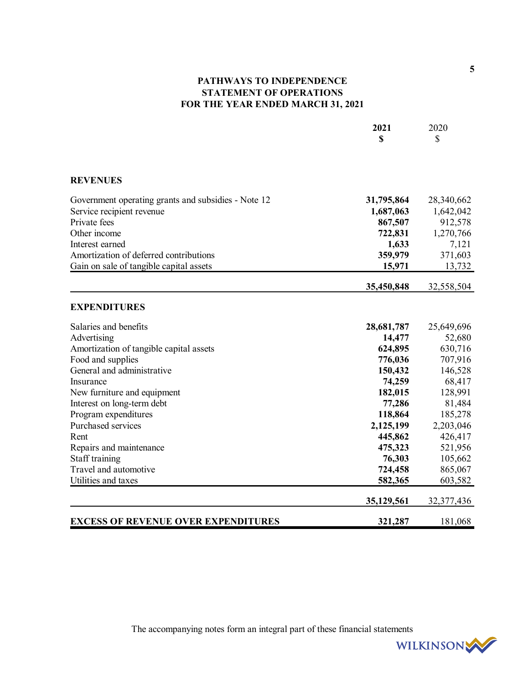# **PATHWAYS TO INDEPENDENCE STATEMENT OF OPERATIONS FOR THE YEAR ENDED MARCH 31, 2021**

|                                                     | 2021<br>\$ | 2020<br>\$ |
|-----------------------------------------------------|------------|------------|
|                                                     |            |            |
| <b>REVENUES</b>                                     |            |            |
| Government operating grants and subsidies - Note 12 | 31,795,864 | 28,340,662 |
| Service recipient revenue                           | 1,687,063  | 1,642,042  |
| Private fees                                        | 867,507    | 912,578    |
| Other income                                        | 722,831    | 1,270,766  |
| Interest earned                                     | 1,633      | 7,121      |
| Amortization of deferred contributions              | 359,979    | 371,603    |
| Gain on sale of tangible capital assets             | 15,971     | 13,732     |
|                                                     | 35,450,848 | 32,558,504 |
| <b>EXPENDITURES</b>                                 |            |            |
| Salaries and benefits                               | 28,681,787 | 25,649,696 |
| Advertising                                         | 14,477     | 52,680     |
| Amortization of tangible capital assets             | 624,895    | 630,716    |
| Food and supplies                                   | 776,036    | 707,916    |
| General and administrative                          | 150,432    | 146,528    |
| Insurance                                           | 74,259     | 68,417     |
| New furniture and equipment                         | 182,015    | 128,991    |
| Interest on long-term debt                          | 77,286     | 81,484     |
| Program expenditures                                | 118,864    | 185,278    |
| Purchased services                                  | 2,125,199  | 2,203,046  |
| Rent                                                | 445,862    | 426,417    |
| Repairs and maintenance                             | 475,323    | 521,956    |
| Staff training                                      | 76,303     | 105,662    |
| Travel and automotive                               | 724,458    | 865,067    |
| Utilities and taxes                                 | 582,365    | 603,582    |
|                                                     | 35,129,561 | 32,377,436 |
| <b>EXCESS OF REVENUE OVER EXPENDITURES</b>          | 321,287    | 181,068    |

The accompanying notes form an integral part of these financial statements

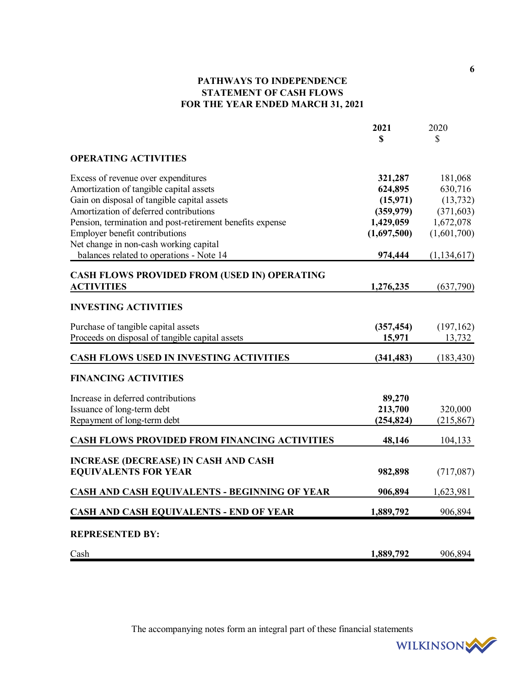# **PATHWAYS TO INDEPENDENCE STATEMENT OF CASH FLOWS FOR THE YEAR ENDED MARCH 31, 2021**

|                                                                            | 2021        | 2020          |
|----------------------------------------------------------------------------|-------------|---------------|
|                                                                            | \$          | \$            |
| <b>OPERATING ACTIVITIES</b>                                                |             |               |
| Excess of revenue over expenditures                                        | 321,287     | 181,068       |
| Amortization of tangible capital assets                                    | 624,895     | 630,716       |
| Gain on disposal of tangible capital assets                                | (15, 971)   | (13, 732)     |
| Amortization of deferred contributions                                     | (359, 979)  | (371, 603)    |
| Pension, termination and post-retirement benefits expense                  | 1,429,059   | 1,672,078     |
| Employer benefit contributions                                             | (1,697,500) | (1,601,700)   |
| Net change in non-cash working capital                                     |             |               |
| balances related to operations - Note 14                                   | 974,444     | (1, 134, 617) |
| <b>CASH FLOWS PROVIDED FROM (USED IN) OPERATING</b>                        |             |               |
| <b>ACTIVITIES</b>                                                          | 1,276,235   | (637,790)     |
| <b>INVESTING ACTIVITIES</b>                                                |             |               |
| Purchase of tangible capital assets                                        | (357, 454)  | (197,162)     |
| Proceeds on disposal of tangible capital assets                            | 15,971      | 13,732        |
| CASH FLOWS USED IN INVESTING ACTIVITIES                                    | (341, 483)  | (183, 430)    |
| <b>FINANCING ACTIVITIES</b>                                                |             |               |
| Increase in deferred contributions                                         | 89,270      |               |
| Issuance of long-term debt                                                 | 213,700     | 320,000       |
| Repayment of long-term debt                                                | (254, 824)  | (215, 867)    |
| <b>CASH FLOWS PROVIDED FROM FINANCING ACTIVITIES</b>                       | 48,146      | 104,133       |
|                                                                            |             |               |
| <b>INCREASE (DECREASE) IN CASH AND CASH</b><br><b>EQUIVALENTS FOR YEAR</b> | 982,898     | (717,087)     |
|                                                                            |             |               |
| <b>CASH AND CASH EQUIVALENTS - BEGINNING OF YEAR</b>                       | 906,894     | 1,623,981     |
| <b>CASH AND CASH EQUIVALENTS - END OF YEAR</b>                             | 1,889,792   | 906,894       |
| <b>REPRESENTED BY:</b>                                                     |             |               |
| Cash                                                                       | 1,889,792   | 906,894       |

The accompanying notes form an integral part of these financial statements

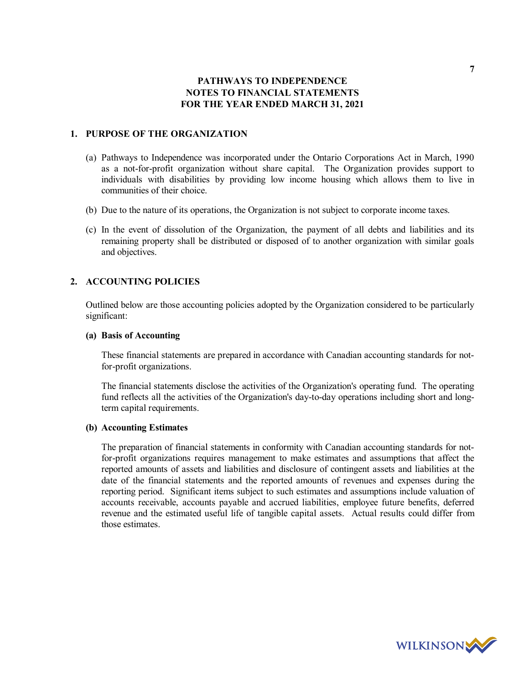### **1. PURPOSE OF THE ORGANIZATION**

- (a) Pathways to Independence was incorporated under the Ontario Corporations Act in March, 1990 as a not-for-profit organization without share capital. The Organization provides support to individuals with disabilities by providing low income housing which allows them to live in communities of their choice.
- (b) Due to the nature of its operations, the Organization is not subject to corporate income taxes.
- (c) In the event of dissolution of the Organization, the payment of all debts and liabilities and its remaining property shall be distributed or disposed of to another organization with similar goals and objectives.

## **2. ACCOUNTING POLICIES**

Outlined below are those accounting policies adopted by the Organization considered to be particularly significant:

### **(a) Basis of Accounting**

These financial statements are prepared in accordance with Canadian accounting standards for notfor-profit organizations.

The financial statements disclose the activities of the Organization's operating fund. The operating fund reflects all the activities of the Organization's day-to-day operations including short and longterm capital requirements.

## **(b) Accounting Estimates**

The preparation of financial statements in conformity with Canadian accounting standards for notfor-profit organizations requires management to make estimates and assumptions that affect the reported amounts of assets and liabilities and disclosure of contingent assets and liabilities at the date of the financial statements and the reported amounts of revenues and expenses during the reporting period. Significant items subject to such estimates and assumptions include valuation of accounts receivable, accounts payable and accrued liabilities, employee future benefits, deferred revenue and the estimated useful life of tangible capital assets. Actual results could differ from those estimates.

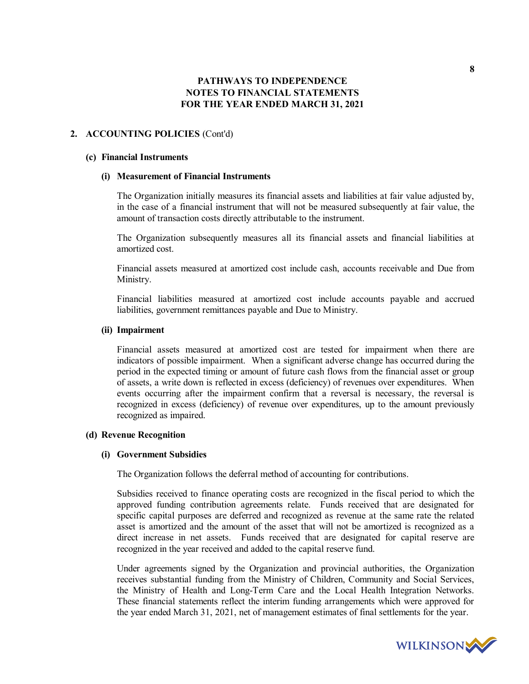### **2. ACCOUNTING POLICIES** (Cont'd)

#### **(c) Financial Instruments**

### **(i) Measurement of Financial Instruments**

The Organization initially measures its financial assets and liabilities at fair value adjusted by, in the case of a financial instrument that will not be measured subsequently at fair value, the amount of transaction costs directly attributable to the instrument.

The Organization subsequently measures all its financial assets and financial liabilities at amortized cost.

Financial assets measured at amortized cost include cash, accounts receivable and Due from Ministry.

Financial liabilities measured at amortized cost include accounts payable and accrued liabilities, government remittances payable and Due to Ministry.

### **(ii) Impairment**

Financial assets measured at amortized cost are tested for impairment when there are indicators of possible impairment. When a significant adverse change has occurred during the period in the expected timing or amount of future cash flows from the financial asset or group of assets, a write down is reflected in excess (deficiency) of revenues over expenditures. When events occurring after the impairment confirm that a reversal is necessary, the reversal is recognized in excess (deficiency) of revenue over expenditures, up to the amount previously recognized as impaired.

### **(d) Revenue Recognition**

### **(i) Government Subsidies**

The Organization follows the deferral method of accounting for contributions.

Subsidies received to finance operating costs are recognized in the fiscal period to which the approved funding contribution agreements relate. Funds received that are designated for specific capital purposes are deferred and recognized as revenue at the same rate the related asset is amortized and the amount of the asset that will not be amortized is recognized as a direct increase in net assets. Funds received that are designated for capital reserve are recognized in the year received and added to the capital reserve fund.

Under agreements signed by the Organization and provincial authorities, the Organization receives substantial funding from the Ministry of Children, Community and Social Services, the Ministry of Health and Long-Term Care and the Local Health Integration Networks. These financial statements reflect the interim funding arrangements which were approved for the year ended March 31, 2021, net of management estimates of final settlements for the year.

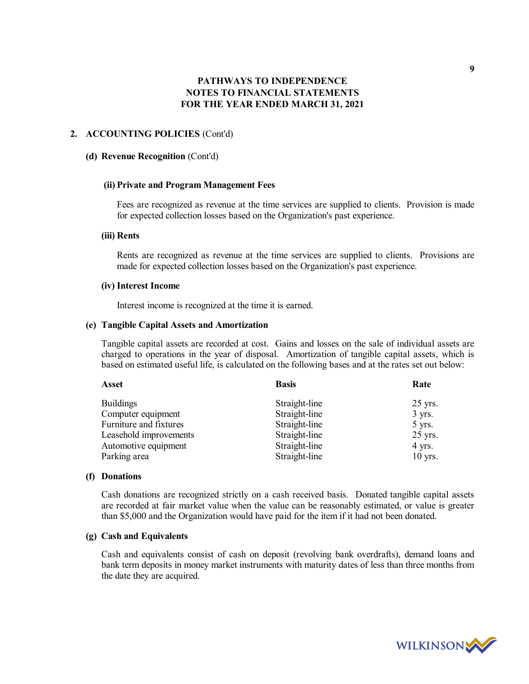### **2. ACCOUNTING POLICIES** (Cont'd)

### **(d) Revenue Recognition** (Cont'd)

#### **(ii) Private and Program Management Fees**

Fees are recognized as revenue at the time services are supplied to clients. Provision is made for expected collection losses based on the Organization's past experience.

### **(iii) Rents**

Rents are recognized as revenue at the time services are supplied to clients. Provisions are made for expected collection losses based on the Organization's past experience.

#### **(iv) Interest Income**

Interest income is recognized at the time it is earned.

### **(e) Tangible Capital Assets and Amortization**

Tangible capital assets are recorded at cost. Gains and losses on the sale of individual assets are charged to operations in the year of disposal. Amortization of tangible capital assets, which is based on estimated useful life, is calculated on the following bases and at the rates set out below:

| <b>Asset</b>           | <b>Basis</b>  | Rate      |
|------------------------|---------------|-----------|
| <b>Buildings</b>       | Straight-line | $25$ yrs. |
| Computer equipment     | Straight-line | $3$ yrs.  |
| Furniture and fixtures | Straight-line | 5 yrs.    |
| Leasehold improvements | Straight-line | $25$ yrs. |
| Automotive equipment   | Straight-line | $4$ yrs.  |
| Parking area           | Straight-line | $10$ yrs. |

### **(f) Donations**

Cash donations are recognized strictly on a cash received basis. Donated tangible capital assets are recorded at fair market value when the value can be reasonably estimated, or value is greater than \$5,000 and the Organization would have paid for the item if it had not been donated.

### **(g) Cash and Equivalents**

Cash and equivalents consist of cash on deposit (revolving bank overdrafts), demand loans and bank term deposits in money market instruments with maturity dates of less than three months from the date they are acquired.

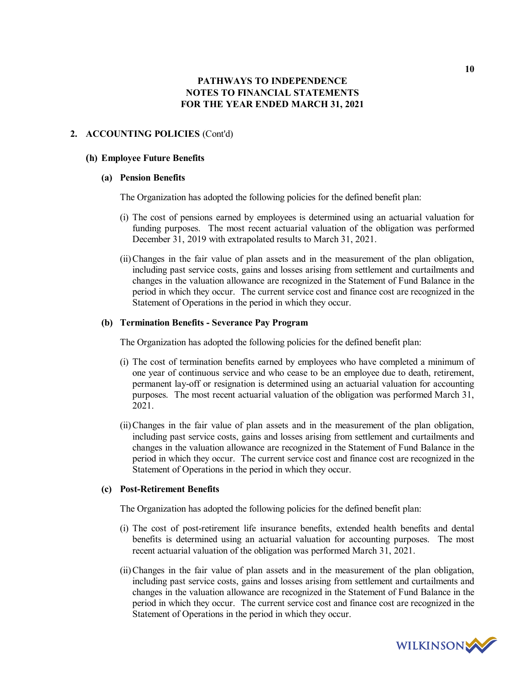### **2. ACCOUNTING POLICIES** (Cont'd)

### **(h) Employee Future Benefits**

### **(a) Pension Benefits**

The Organization has adopted the following policies for the defined benefit plan:

- (i) The cost of pensions earned by employees is determined using an actuarial valuation for funding purposes. The most recent actuarial valuation of the obligation was performed December 31, 2019 with extrapolated results to March 31, 2021.
- (ii)Changes in the fair value of plan assets and in the measurement of the plan obligation, including past service costs, gains and losses arising from settlement and curtailments and changes in the valuation allowance are recognized in the Statement of Fund Balance in the period in which they occur. The current service cost and finance cost are recognized in the Statement of Operations in the period in which they occur.

### **(b) Termination Benefits - Severance Pay Program**

The Organization has adopted the following policies for the defined benefit plan:

- (i) The cost of termination benefits earned by employees who have completed a minimum of one year of continuous service and who cease to be an employee due to death, retirement, permanent lay-off or resignation is determined using an actuarial valuation for accounting purposes. The most recent actuarial valuation of the obligation was performed March 31, 2021.
- (ii)Changes in the fair value of plan assets and in the measurement of the plan obligation, including past service costs, gains and losses arising from settlement and curtailments and changes in the valuation allowance are recognized in the Statement of Fund Balance in the period in which they occur. The current service cost and finance cost are recognized in the Statement of Operations in the period in which they occur.

### **(c) Post-Retirement Benefits**

The Organization has adopted the following policies for the defined benefit plan:

- (i) The cost of post-retirement life insurance benefits, extended health benefits and dental benefits is determined using an actuarial valuation for accounting purposes. The most recent actuarial valuation of the obligation was performed March 31, 2021.
- (ii)Changes in the fair value of plan assets and in the measurement of the plan obligation, including past service costs, gains and losses arising from settlement and curtailments and changes in the valuation allowance are recognized in the Statement of Fund Balance in the period in which they occur. The current service cost and finance cost are recognized in the Statement of Operations in the period in which they occur.

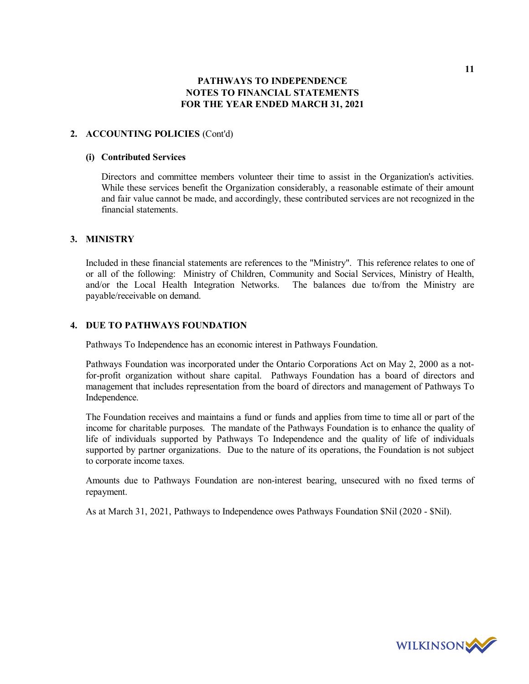## **2. ACCOUNTING POLICIES** (Cont'd)

### **(i) Contributed Services**

Directors and committee members volunteer their time to assist in the Organization's activities. While these services benefit the Organization considerably, a reasonable estimate of their amount and fair value cannot be made, and accordingly, these contributed services are not recognized in the financial statements.

## **3. MINISTRY**

Included in these financial statements are references to the "Ministry". This reference relates to one of or all of the following: Ministry of Children, Community and Social Services, Ministry of Health, and/or the Local Health Integration Networks. The balances due to/from the Ministry are payable/receivable on demand.

## **4. DUE TO PATHWAYS FOUNDATION**

Pathways To Independence has an economic interest in Pathways Foundation.

Pathways Foundation was incorporated under the Ontario Corporations Act on May 2, 2000 as a notfor-profit organization without share capital. Pathways Foundation has a board of directors and management that includes representation from the board of directors and management of Pathways To Independence.

The Foundation receives and maintains a fund or funds and applies from time to time all or part of the income for charitable purposes. The mandate of the Pathways Foundation is to enhance the quality of life of individuals supported by Pathways To Independence and the quality of life of individuals supported by partner organizations. Due to the nature of its operations, the Foundation is not subject to corporate income taxes.

Amounts due to Pathways Foundation are non-interest bearing, unsecured with no fixed terms of repayment.

As at March 31, 2021, Pathways to Independence owes Pathways Foundation \$Nil (2020 - \$Nil).

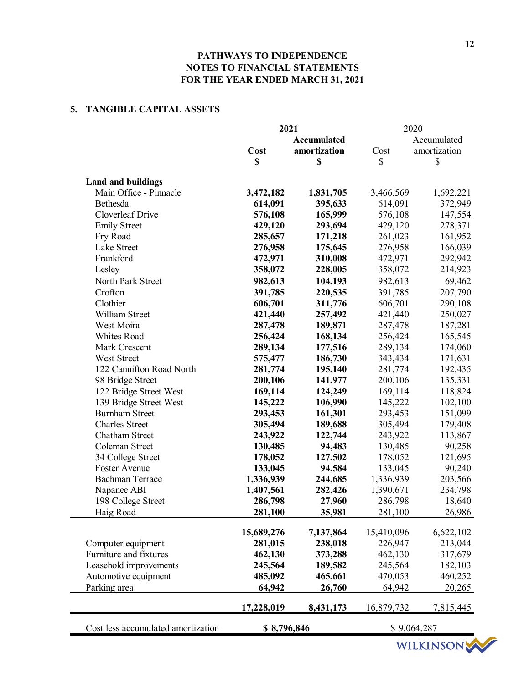## **5. TANGIBLE CAPITAL ASSETS**

|                                    |             | 2021               |            | 2020         |
|------------------------------------|-------------|--------------------|------------|--------------|
|                                    |             | <b>Accumulated</b> |            | Accumulated  |
|                                    | Cost        | amortization       | Cost       | amortization |
|                                    | \$          | \$                 | \$         | \$           |
| <b>Land and buildings</b>          |             |                    |            |              |
| Main Office - Pinnacle             | 3,472,182   | 1,831,705          | 3,466,569  | 1,692,221    |
| Bethesda                           | 614,091     | 395,633            | 614,091    | 372,949      |
| Cloverleaf Drive                   | 576,108     | 165,999            | 576,108    | 147,554      |
| <b>Emily Street</b>                | 429,120     | 293,694            | 429,120    | 278,371      |
| Fry Road                           | 285,657     | 171,218            | 261,023    | 161,952      |
| Lake Street                        | 276,958     | 175,645            | 276,958    | 166,039      |
| Frankford                          | 472,971     | 310,008            | 472,971    | 292,942      |
| Lesley                             | 358,072     | 228,005            | 358,072    | 214,923      |
| North Park Street                  | 982,613     | 104,193            | 982,613    | 69,462       |
| Crofton                            | 391,785     | 220,535            | 391,785    | 207,790      |
| Clothier                           | 606,701     | 311,776            | 606,701    | 290,108      |
| William Street                     | 421,440     | 257,492            | 421,440    | 250,027      |
| West Moira                         | 287,478     | 189,871            | 287,478    | 187,281      |
| Whites Road                        | 256,424     | 168,134            | 256,424    | 165,545      |
| Mark Crescent                      | 289,134     | 177,516            | 289,134    | 174,060      |
| West Street                        | 575,477     | 186,730            | 343,434    | 171,631      |
| 122 Cannifton Road North           | 281,774     | 195,140            | 281,774    | 192,435      |
| 98 Bridge Street                   | 200,106     | 141,977            | 200,106    | 135,331      |
| 122 Bridge Street West             | 169,114     | 124,249            | 169,114    | 118,824      |
| 139 Bridge Street West             | 145,222     | 106,990            | 145,222    | 102,100      |
| <b>Burnham Street</b>              | 293,453     | 161,301            | 293,453    | 151,099      |
| <b>Charles Street</b>              | 305,494     | 189,688            | 305,494    | 179,408      |
| Chatham Street                     | 243,922     | 122,744            | 243,922    | 113,867      |
| Coleman Street                     | 130,485     | 94,483             | 130,485    | 90,258       |
| 34 College Street                  | 178,052     | 127,502            | 178,052    | 121,695      |
| Foster Avenue                      | 133,045     | 94,584             | 133,045    | 90,240       |
| <b>Bachman Terrace</b>             | 1,336,939   | 244,685            | 1,336,939  | 203,566      |
| Napanee ABI                        | 1,407,561   | 282,426            | 1,390,671  | 234,798      |
| 198 College Street                 | 286,798     | 27,960             | 286,798    | 18,640       |
| Haig Road                          | 281,100     | 35,981             | 281,100    | 26,986       |
|                                    |             |                    |            |              |
|                                    | 15,689,276  | 7,137,864          | 15,410,096 | 6,622,102    |
| Computer equipment                 | 281,015     | 238,018            | 226,947    | 213,044      |
| Furniture and fixtures             | 462,130     | 373,288            | 462,130    | 317,679      |
| Leasehold improvements             | 245,564     | 189,582            | 245,564    | 182,103      |
| Automotive equipment               | 485,092     | 465,661            | 470,053    | 460,252      |
| Parking area                       | 64,942      | 26,760             | 64,942     | 20,265       |
|                                    | 17,228,019  | 8,431,173          | 16,879,732 | 7,815,445    |
| Cost less accumulated amortization | \$8,796,846 |                    |            | \$9,064,287  |
|                                    |             |                    |            |              |

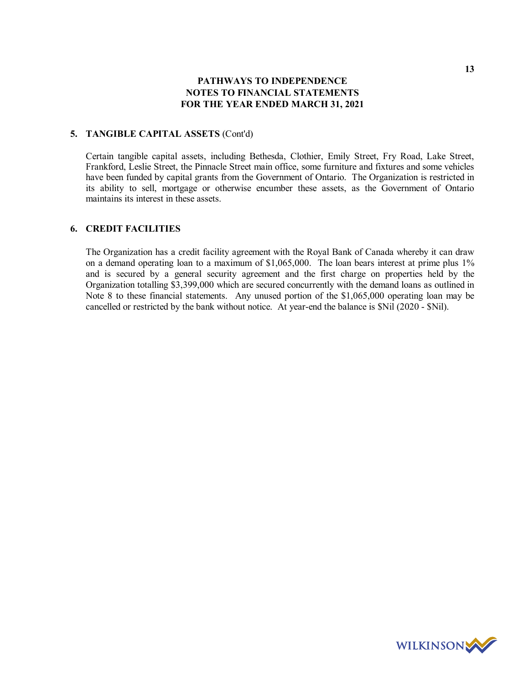### **5. TANGIBLE CAPITAL ASSETS** (Cont'd)

Certain tangible capital assets, including Bethesda, Clothier, Emily Street, Fry Road, Lake Street, Frankford, Leslie Street, the Pinnacle Street main office, some furniture and fixtures and some vehicles have been funded by capital grants from the Government of Ontario. The Organization is restricted in its ability to sell, mortgage or otherwise encumber these assets, as the Government of Ontario maintains its interest in these assets.

## **6. CREDIT FACILITIES**

The Organization has a credit facility agreement with the Royal Bank of Canada whereby it can draw on a demand operating loan to a maximum of \$1,065,000. The loan bears interest at prime plus 1% and is secured by a general security agreement and the first charge on properties held by the Organization totalling \$3,399,000 which are secured concurrently with the demand loans as outlined in Note 8 to these financial statements. Any unused portion of the \$1,065,000 operating loan may be cancelled or restricted by the bank without notice. At year-end the balance is \$Nil (2020 - \$Nil).

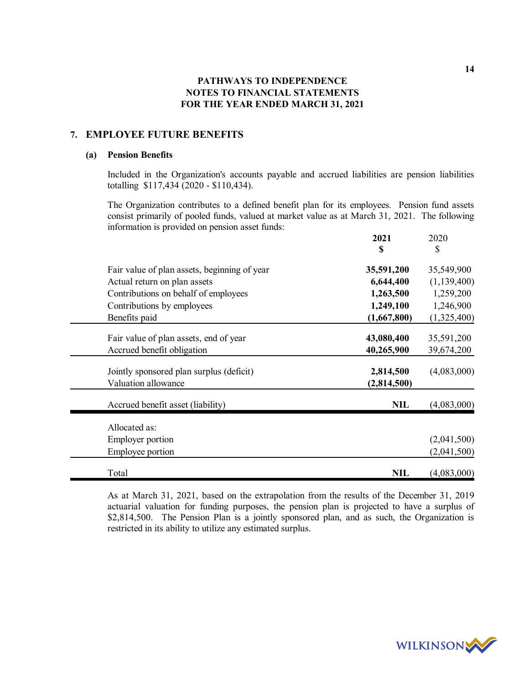# **7. EMPLOYEE FUTURE BENEFITS**

### **(a) Pension Benefits**

Included in the Organization's accounts payable and accrued liabilities are pension liabilities totalling \$117,434 (2020 - \$110,434).

The Organization contributes to a defined benefit plan for its employees. Pension fund assets consist primarily of pooled funds, valued at market value as at March 31, 2021. The following information is provided on pension asset funds: **2021** 2020

|                                              | S           | \$            |
|----------------------------------------------|-------------|---------------|
| Fair value of plan assets, beginning of year | 35,591,200  | 35,549,900    |
| Actual return on plan assets                 | 6,644,400   | (1, 139, 400) |
| Contributions on behalf of employees         | 1,263,500   | 1,259,200     |
| Contributions by employees                   | 1,249,100   | 1,246,900     |
| Benefits paid                                | (1,667,800) | (1,325,400)   |
| Fair value of plan assets, end of year       | 43,080,400  | 35,591,200    |
| Accrued benefit obligation                   | 40,265,900  | 39,674,200    |
| Jointly sponsored plan surplus (deficit)     | 2,814,500   | (4,083,000)   |
| Valuation allowance                          | (2,814,500) |               |
| Accrued benefit asset (liability)            | <b>NIL</b>  | (4,083,000)   |
| Allocated as:                                |             |               |
| <b>Employer portion</b>                      |             | (2,041,500)   |
| Employee portion                             |             | (2,041,500)   |
| Total                                        | <b>NIL</b>  | (4,083,000)   |

As at March 31, 2021, based on the extrapolation from the results of the December 31, 2019 actuarial valuation for funding purposes, the pension plan is projected to have a surplus of \$2,814,500. The Pension Plan is a jointly sponsored plan, and as such, the Organization is restricted in its ability to utilize any estimated surplus.

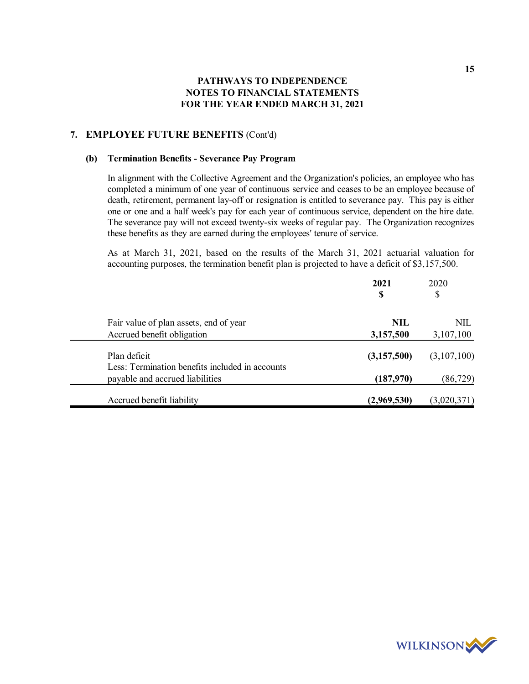## **7. EMPLOYEE FUTURE BENEFITS** (Cont'd)

### **(b) Termination Benefits - Severance Pay Program**

In alignment with the Collective Agreement and the Organization's policies, an employee who has completed a minimum of one year of continuous service and ceases to be an employee because of death, retirement, permanent lay-off or resignation is entitled to severance pay. This pay is either one or one and a half week's pay for each year of continuous service, dependent on the hire date. The severance pay will not exceed twenty-six weeks of regular pay. The Organization recognizes these benefits as they are earned during the employees' tenure of service.

As at March 31, 2021, based on the results of the March 31, 2021 actuarial valuation for accounting purposes, the termination benefit plan is projected to have a deficit of \$3,157,500.

|                                                                                    | 2021<br>S   | 2020<br>\$  |
|------------------------------------------------------------------------------------|-------------|-------------|
| Fair value of plan assets, end of year                                             | NIL         | NIL         |
| Accrued benefit obligation                                                         | 3,157,500   | 3,107,100   |
| Plan deficit                                                                       | (3,157,500) | (3,107,100) |
| Less: Termination benefits included in accounts<br>payable and accrued liabilities | (187,970)   | (86, 729)   |
| Accrued benefit liability                                                          | (2,969,530) | (3,020,371) |

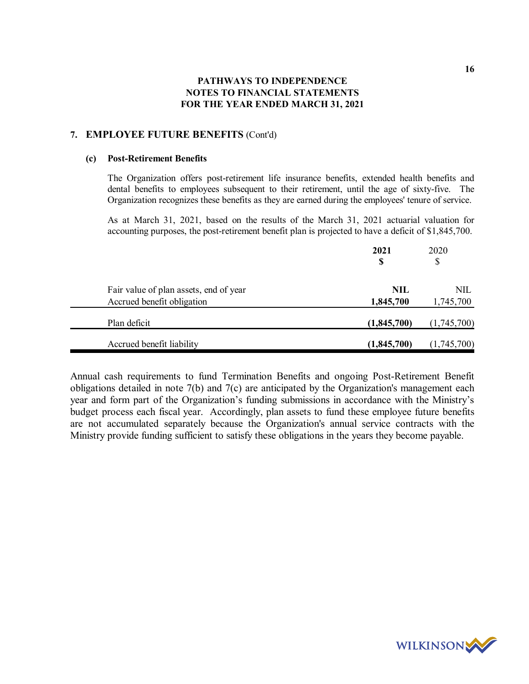## **7. EMPLOYEE FUTURE BENEFITS** (Cont'd)

### **(c) Post-Retirement Benefits**

The Organization offers post-retirement life insurance benefits, extended health benefits and dental benefits to employees subsequent to their retirement, until the age of sixty-five. The Organization recognizes these benefits as they are earned during the employees' tenure of service.

As at March 31, 2021, based on the results of the March 31, 2021 actuarial valuation for accounting purposes, the post-retirement benefit plan is projected to have a deficit of \$1,845,700.

|                                        | 2021<br>\$  | 2020<br>\$  |
|----------------------------------------|-------------|-------------|
| Fair value of plan assets, end of year | NIL         | NIL         |
| Accrued benefit obligation             | 1,845,700   | 1,745,700   |
| Plan deficit                           | (1,845,700) | (1,745,700) |
| Accrued benefit liability              | (1,845,700) | (1,745,700) |

Annual cash requirements to fund Termination Benefits and ongoing Post-Retirement Benefit obligations detailed in note 7(b) and 7(c) are anticipated by the Organization's management each year and form part of the Organization's funding submissions in accordance with the Ministry's budget process each fiscal year. Accordingly, plan assets to fund these employee future benefits are not accumulated separately because the Organization's annual service contracts with the Ministry provide funding sufficient to satisfy these obligations in the years they become payable.

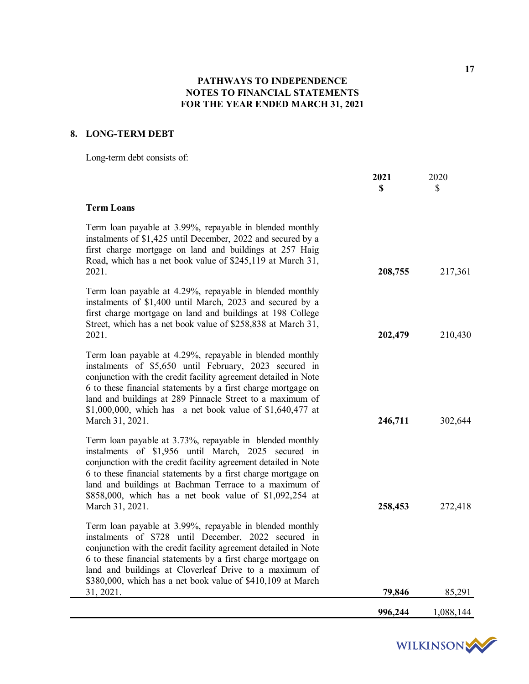# **8. LONG-TERM DEBT**

Long-term debt consists of:

|                                                                                                                                                                                                                                                                                                                                                                                                      | 2021<br>\$ | 2020<br>$\mathcal{S}$ |
|------------------------------------------------------------------------------------------------------------------------------------------------------------------------------------------------------------------------------------------------------------------------------------------------------------------------------------------------------------------------------------------------------|------------|-----------------------|
| <b>Term Loans</b>                                                                                                                                                                                                                                                                                                                                                                                    |            |                       |
| Term loan payable at 3.99%, repayable in blended monthly<br>instalments of \$1,425 until December, 2022 and secured by a<br>first charge mortgage on land and buildings at 257 Haig<br>Road, which has a net book value of \$245,119 at March 31,<br>2021.                                                                                                                                           | 208,755    | 217,361               |
| Term loan payable at 4.29%, repayable in blended monthly<br>instalments of \$1,400 until March, 2023 and secured by a<br>first charge mortgage on land and buildings at 198 College<br>Street, which has a net book value of \$258,838 at March 31,<br>2021.                                                                                                                                         | 202,479    | 210,430               |
| Term loan payable at 4.29%, repayable in blended monthly<br>instalments of \$5,650 until February, 2023 secured in<br>conjunction with the credit facility agreement detailed in Note<br>6 to these financial statements by a first charge mortgage on<br>land and buildings at 289 Pinnacle Street to a maximum of<br>\$1,000,000, which has a net book value of $$1,640,477$ at<br>March 31, 2021. | 246,711    | 302,644               |
| Term loan payable at 3.73%, repayable in blended monthly<br>instalments of \$1,956 until March, 2025 secured in<br>conjunction with the credit facility agreement detailed in Note<br>6 to these financial statements by a first charge mortgage on<br>land and buildings at Bachman Terrace to a maximum of<br>\$858,000, which has a net book value of \$1,092,254 at<br>March 31, 2021.           | 258,453    | 272,418               |
| Term loan payable at 3.99%, repayable in blended monthly<br>instalments of \$728 until December, 2022 secured in<br>conjunction with the credit facility agreement detailed in Note<br>6 to these financial statements by a first charge mortgage on<br>land and buildings at Cloverleaf Drive to a maximum of<br>\$380,000, which has a net book value of \$410,109 at March<br>31, 2021.           | 79,846     | 85,291                |
|                                                                                                                                                                                                                                                                                                                                                                                                      | 996,244    | 1,088,144             |

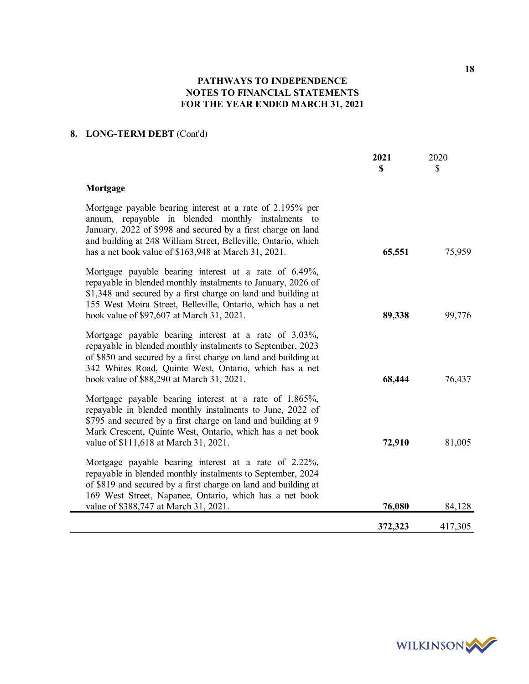# **8. LONG-TERM DEBT** (Cont'd)

|                                                                                                                                                                                                                                                                                                           | 2021<br>\$ | 2020<br>\$ |
|-----------------------------------------------------------------------------------------------------------------------------------------------------------------------------------------------------------------------------------------------------------------------------------------------------------|------------|------------|
| Mortgage                                                                                                                                                                                                                                                                                                  |            |            |
| Mortgage payable bearing interest at a rate of 2.195% per<br>annum, repayable in blended monthly instalments to<br>January, 2022 of \$998 and secured by a first charge on land<br>and building at 248 William Street, Belleville, Ontario, which<br>has a net book value of \$163,948 at March 31, 2021. | 65,551     | 75,959     |
| Mortgage payable bearing interest at a rate of 6.49%,<br>repayable in blended monthly instalments to January, 2026 of<br>\$1,348 and secured by a first charge on land and building at<br>155 West Moira Street, Belleville, Ontario, which has a net<br>book value of \$97,607 at March 31, 2021.        | 89,338     | 99,776     |
| Mortgage payable bearing interest at a rate of 3.03%,<br>repayable in blended monthly instalments to September, 2023<br>of \$850 and secured by a first charge on land and building at<br>342 Whites Road, Quinte West, Ontario, which has a net<br>book value of \$88,290 at March 31, 2021.             | 68,444     | 76,437     |
| Mortgage payable bearing interest at a rate of 1.865%,<br>repayable in blended monthly instalments to June, 2022 of<br>\$795 and secured by a first charge on land and building at 9<br>Mark Crescent, Quinte West, Ontario, which has a net book<br>value of \$111,618 at March 31, 2021.                | 72,910     | 81,005     |
| Mortgage payable bearing interest at a rate of 2.22%,<br>repayable in blended monthly instalments to September, 2024<br>of \$819 and secured by a first charge on land and building at<br>169 West Street, Napanee, Ontario, which has a net book<br>value of \$388,747 at March 31, 2021.                | 76,080     | 84,128     |
|                                                                                                                                                                                                                                                                                                           | 372,323    | 417,305    |



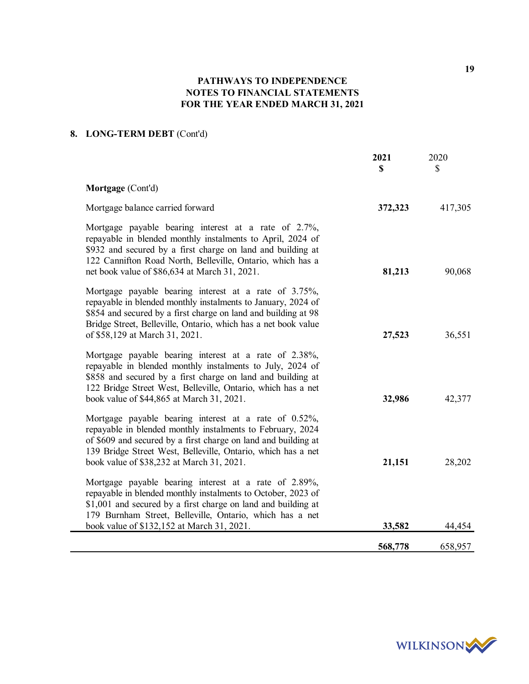# **8. LONG-TERM DEBT** (Cont'd)

| Mortgage (Cont'd)                                                                                                                                                                                                                                                                                            | 417,305 |
|--------------------------------------------------------------------------------------------------------------------------------------------------------------------------------------------------------------------------------------------------------------------------------------------------------------|---------|
|                                                                                                                                                                                                                                                                                                              |         |
| Mortgage balance carried forward<br>372,323                                                                                                                                                                                                                                                                  |         |
| Mortgage payable bearing interest at a rate of 2.7%,<br>repayable in blended monthly instalments to April, 2024 of<br>\$932 and secured by a first charge on land and building at<br>122 Cannifton Road North, Belleville, Ontario, which has a<br>net book value of \$86,634 at March 31, 2021.<br>81,213   | 90,068  |
| Mortgage payable bearing interest at a rate of 3.75%,<br>repayable in blended monthly instalments to January, 2024 of<br>\$854 and secured by a first charge on land and building at 98<br>Bridge Street, Belleville, Ontario, which has a net book value<br>of \$58,129 at March 31, 2021.<br>27,523        | 36,551  |
| Mortgage payable bearing interest at a rate of 2.38%,<br>repayable in blended monthly instalments to July, 2024 of<br>\$858 and secured by a first charge on land and building at<br>122 Bridge Street West, Belleville, Ontario, which has a net<br>book value of \$44,865 at March 31, 2021.<br>32,986     | 42,377  |
| Mortgage payable bearing interest at a rate of 0.52%,<br>repayable in blended monthly instalments to February, 2024<br>of \$609 and secured by a first charge on land and building at<br>139 Bridge Street West, Belleville, Ontario, which has a net<br>21,151<br>book value of \$38,232 at March 31, 2021. | 28,202  |
| Mortgage payable bearing interest at a rate of 2.89%,<br>repayable in blended monthly instalments to October, 2023 of<br>\$1,001 and secured by a first charge on land and building at<br>179 Burnham Street, Belleville, Ontario, which has a net<br>book value of \$132,152 at March 31, 2021.<br>33,582   | 44,454  |
| 568,778                                                                                                                                                                                                                                                                                                      | 658,957 |



**19**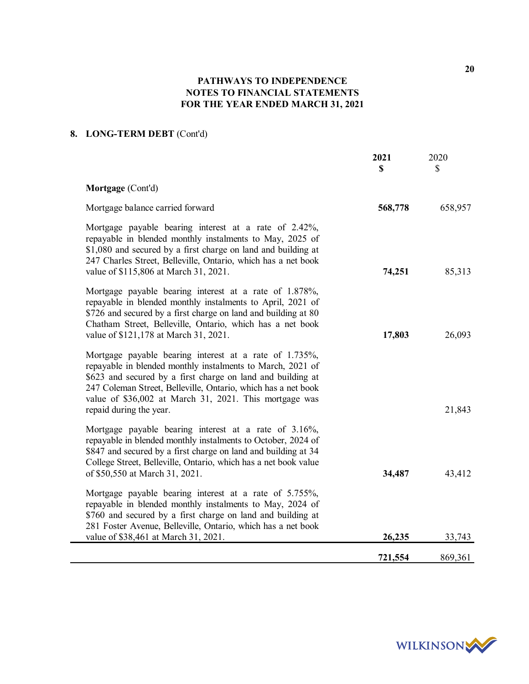# **8. LONG-TERM DEBT** (Cont'd)

|                                                                                                                                                                                                                                                                                                                                           | 2021<br>$\mathbf S$ | 2020<br>\$ |
|-------------------------------------------------------------------------------------------------------------------------------------------------------------------------------------------------------------------------------------------------------------------------------------------------------------------------------------------|---------------------|------------|
| Mortgage (Cont'd)                                                                                                                                                                                                                                                                                                                         |                     |            |
| Mortgage balance carried forward                                                                                                                                                                                                                                                                                                          | 568,778             | 658,957    |
| Mortgage payable bearing interest at a rate of 2.42%,<br>repayable in blended monthly instalments to May, 2025 of<br>\$1,080 and secured by a first charge on land and building at<br>247 Charles Street, Belleville, Ontario, which has a net book<br>value of \$115,806 at March 31, 2021.                                              | 74,251              | 85,313     |
| Mortgage payable bearing interest at a rate of 1.878%,<br>repayable in blended monthly instalments to April, 2021 of<br>\$726 and secured by a first charge on land and building at 80<br>Chatham Street, Belleville, Ontario, which has a net book<br>value of \$121,178 at March 31, 2021.                                              | 17,803              | 26,093     |
| Mortgage payable bearing interest at a rate of 1.735%,<br>repayable in blended monthly instalments to March, 2021 of<br>\$623 and secured by a first charge on land and building at<br>247 Coleman Street, Belleville, Ontario, which has a net book<br>value of \$36,002 at March 31, 2021. This mortgage was<br>repaid during the year. |                     | 21,843     |
| Mortgage payable bearing interest at a rate of 3.16%,<br>repayable in blended monthly instalments to October, 2024 of<br>\$847 and secured by a first charge on land and building at 34<br>College Street, Belleville, Ontario, which has a net book value<br>of \$50,550 at March 31, 2021.                                              | 34,487              | 43,412     |
| Mortgage payable bearing interest at a rate of 5.755%,<br>repayable in blended monthly instalments to May, 2024 of<br>\$760 and secured by a first charge on land and building at<br>281 Foster Avenue, Belleville, Ontario, which has a net book<br>value of \$38,461 at March 31, 2021.                                                 | 26,235              | 33,743     |
|                                                                                                                                                                                                                                                                                                                                           | 721,554             | 869,361    |



**20**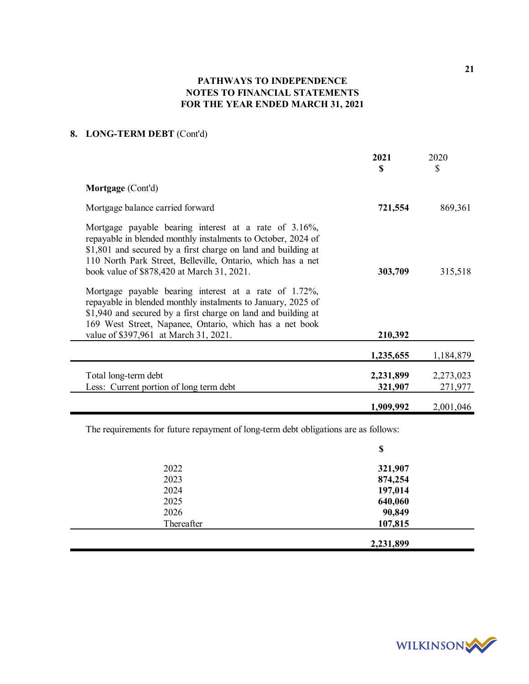# **8. LONG-TERM DEBT** (Cont'd)

|                                                                                                                                                                                                                                                                                                     | 2021<br>\$           | 2020<br>\$           |
|-----------------------------------------------------------------------------------------------------------------------------------------------------------------------------------------------------------------------------------------------------------------------------------------------------|----------------------|----------------------|
| Mortgage (Cont'd)                                                                                                                                                                                                                                                                                   |                      |                      |
| Mortgage balance carried forward                                                                                                                                                                                                                                                                    | 721,554              | 869,361              |
| Mortgage payable bearing interest at a rate of 3.16%,<br>repayable in blended monthly instalments to October, 2024 of<br>\$1,801 and secured by a first charge on land and building at<br>110 North Park Street, Belleville, Ontario, which has a net<br>book value of \$878,420 at March 31, 2021. | 303,709              | 315,518              |
| Mortgage payable bearing interest at a rate of 1.72%,<br>repayable in blended monthly instalments to January, 2025 of<br>\$1,940 and secured by a first charge on land and building at<br>169 West Street, Napanee, Ontario, which has a net book<br>value of \$397,961 at March 31, 2021.          | 210,392              |                      |
|                                                                                                                                                                                                                                                                                                     | 1,235,655            | 1,184,879            |
| Total long-term debt<br>Less: Current portion of long term debt                                                                                                                                                                                                                                     | 2,231,899<br>321,907 | 2,273,023<br>271,977 |
|                                                                                                                                                                                                                                                                                                     | 1,909,992            | 2,001,046            |

The requirements for future repayment of long-term debt obligations are as follows:

|            | \$        |
|------------|-----------|
| 2022       | 321,907   |
| 2023       | 874,254   |
| 2024       | 197,014   |
| 2025       | 640,060   |
| 2026       | 90,849    |
| Thereafter | 107,815   |
|            | 2,231,899 |



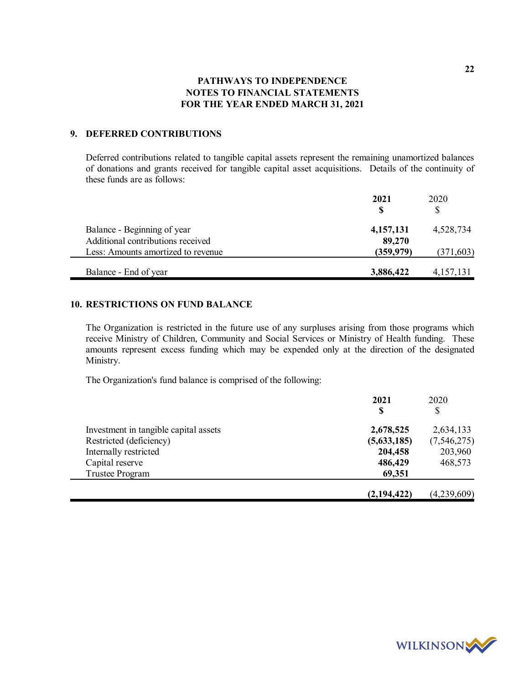## **9. DEFERRED CONTRIBUTIONS**

Deferred contributions related to tangible capital assets represent the remaining unamortized balances of donations and grants received for tangible capital asset acquisitions. Details of the continuity of these funds are as follows:

|                                                                  | 2021                | 2020<br>\$ |
|------------------------------------------------------------------|---------------------|------------|
| Balance - Beginning of year<br>Additional contributions received | 4,157,131<br>89,270 | 4,528,734  |
| Less: Amounts amortized to revenue                               | (359, 979)          | (371, 603) |
| Balance - End of year                                            | 3,886,422           | 4,157,131  |

# **10. RESTRICTIONS ON FUND BALANCE**

The Organization is restricted in the future use of any surpluses arising from those programs which receive Ministry of Children, Community and Social Services or Ministry of Health funding. These amounts represent excess funding which may be expended only at the direction of the designated Ministry.

The Organization's fund balance is comprised of the following:

|                                       | 2021<br>S     | 2020          |  |
|---------------------------------------|---------------|---------------|--|
|                                       |               | \$            |  |
| Investment in tangible capital assets | 2,678,525     | 2,634,133     |  |
| Restricted (deficiency)               | (5,633,185)   | (7, 546, 275) |  |
| Internally restricted                 | 204,458       | 203,960       |  |
| Capital reserve                       | 486,429       | 468,573       |  |
| <b>Trustee Program</b>                | 69,351        |               |  |
|                                       | (2, 194, 422) | (4,239,609)   |  |



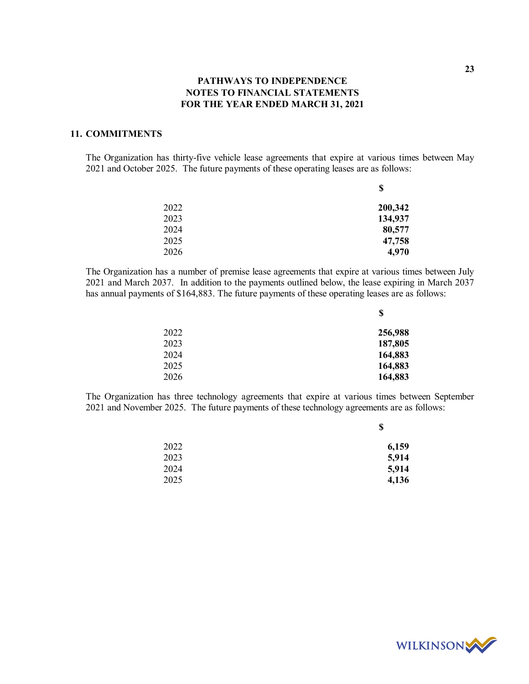## **11. COMMITMENTS**

The Organization has thirty-five vehicle lease agreements that expire at various times between May 2021 and October 2025. The future payments of these operating leases are as follows:

| Φ       |
|---------|
| 200,342 |
| 134,937 |
| 80,577  |
| 47,758  |
| 4,970   |
|         |

**\$**

**\$**

The Organization has a number of premise lease agreements that expire at various times between July 2021 and March 2037. In addition to the payments outlined below, the lease expiring in March 2037 has annual payments of \$164,883. The future payments of these operating leases are as follows:

|      | \$      |
|------|---------|
| 2022 | 256,988 |
| 2023 | 187,805 |
| 2024 | 164,883 |
| 2025 | 164,883 |
| 2026 | 164,883 |

The Organization has three technology agreements that expire at various times between September 2021 and November 2025. The future payments of these technology agreements are as follows:

|      | Φ     |
|------|-------|
| 2022 | 6,159 |
| 2023 | 5,914 |
| 2024 | 5,914 |
| 2025 | 4,136 |
|      |       |

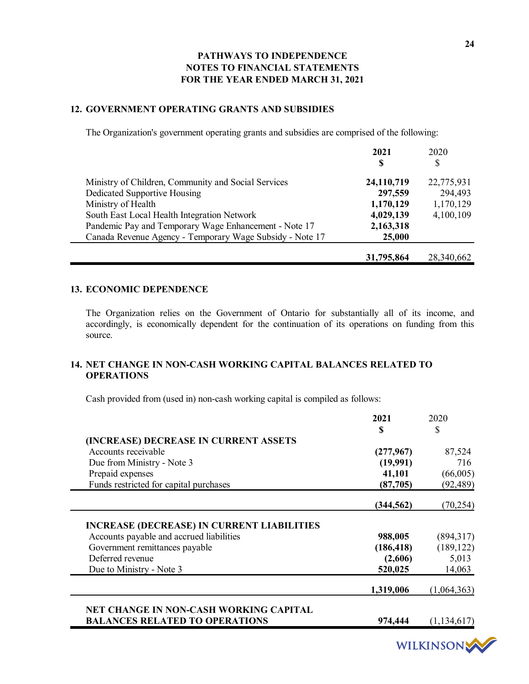## **12. GOVERNMENT OPERATING GRANTS AND SUBSIDIES**

The Organization's government operating grants and subsidies are comprised of the following:

|                                                          | 2021<br>S  | 2020<br>\$ |
|----------------------------------------------------------|------------|------------|
| Ministry of Children, Community and Social Services      | 24,110,719 | 22,775,931 |
| Dedicated Supportive Housing                             | 297,559    | 294,493    |
| Ministry of Health                                       | 1,170,129  | 1,170,129  |
| South East Local Health Integration Network              | 4,029,139  | 4,100,109  |
| Pandemic Pay and Temporary Wage Enhancement - Note 17    | 2,163,318  |            |
| Canada Revenue Agency - Temporary Wage Subsidy - Note 17 | 25,000     |            |
|                                                          | 31,795,864 | 28,340,662 |

## **13. ECONOMIC DEPENDENCE**

The Organization relies on the Government of Ontario for substantially all of its income, and accordingly, is economically dependent for the continuation of its operations on funding from this source.

# **14. NET CHANGE IN NON-CASH WORKING CAPITAL BALANCES RELATED TO OPERATIONS**

Cash provided from (used in) non-cash working capital is compiled as follows:

|                                                                               | 2021               | 2020                                   |
|-------------------------------------------------------------------------------|--------------------|----------------------------------------|
|                                                                               | \$                 | \$                                     |
| (INCREASE) DECREASE IN CURRENT ASSETS                                         |                    |                                        |
| Accounts receivable                                                           | (277,967)          | 87,524                                 |
| Due from Ministry - Note 3                                                    | (19,991)           | 716                                    |
| Prepaid expenses                                                              | 41,101             | (66,005)                               |
| Funds restricted for capital purchases                                        | (87,705)           | (92,489)                               |
|                                                                               | (344, 562)         | (70, 254)                              |
|                                                                               |                    |                                        |
|                                                                               |                    |                                        |
|                                                                               | 988,005            |                                        |
| Accounts payable and accrued liabilities                                      | (186, 418)         |                                        |
| Government remittances payable<br>Deferred revenue                            |                    | 5,013                                  |
| <b>INCREASE (DECREASE) IN CURRENT LIABILITIES</b><br>Due to Ministry - Note 3 | (2,606)<br>520,025 | 14,063                                 |
|                                                                               | 1,319,006          | (894,317)<br>(189, 122)<br>(1,064,363) |
| NET CHANGE IN NON-CASH WORKING CAPITAL                                        |                    |                                        |



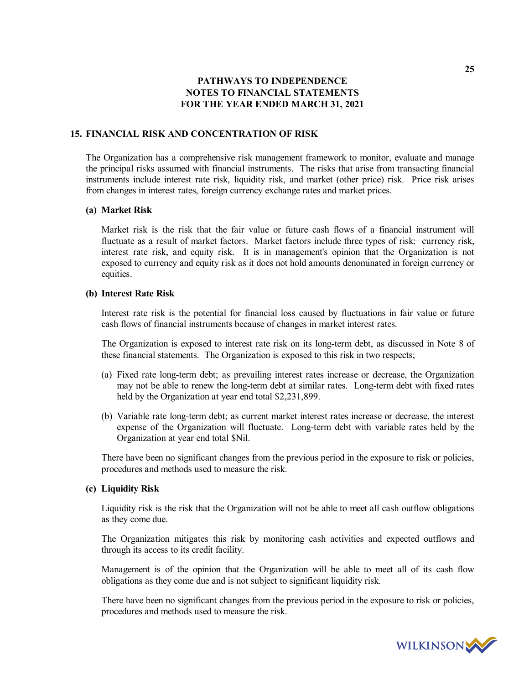## **15. FINANCIAL RISK AND CONCENTRATION OF RISK**

The Organization has a comprehensive risk management framework to monitor, evaluate and manage the principal risks assumed with financial instruments. The risks that arise from transacting financial instruments include interest rate risk, liquidity risk, and market (other price) risk. Price risk arises from changes in interest rates, foreign currency exchange rates and market prices.

### **(a) Market Risk**

Market risk is the risk that the fair value or future cash flows of a financial instrument will fluctuate as a result of market factors. Market factors include three types of risk: currency risk, interest rate risk, and equity risk. It is in management's opinion that the Organization is not exposed to currency and equity risk as it does not hold amounts denominated in foreign currency or equities.

### **(b) Interest Rate Risk**

Interest rate risk is the potential for financial loss caused by fluctuations in fair value or future cash flows of financial instruments because of changes in market interest rates.

The Organization is exposed to interest rate risk on its long-term debt, as discussed in Note 8 of these financial statements. The Organization is exposed to this risk in two respects;

- (a) Fixed rate long-term debt; as prevailing interest rates increase or decrease, the Organization may not be able to renew the long-term debt at similar rates. Long-term debt with fixed rates held by the Organization at year end total \$2,231,899.
- (b) Variable rate long-term debt; as current market interest rates increase or decrease, the interest expense of the Organization will fluctuate. Long-term debt with variable rates held by the Organization at year end total \$Nil.

There have been no significant changes from the previous period in the exposure to risk or policies, procedures and methods used to measure the risk.

### **(c) Liquidity Risk**

Liquidity risk is the risk that the Organization will not be able to meet all cash outflow obligations as they come due.

The Organization mitigates this risk by monitoring cash activities and expected outflows and through its access to its credit facility.

Management is of the opinion that the Organization will be able to meet all of its cash flow obligations as they come due and is not subject to significant liquidity risk.

There have been no significant changes from the previous period in the exposure to risk or policies, procedures and methods used to measure the risk.

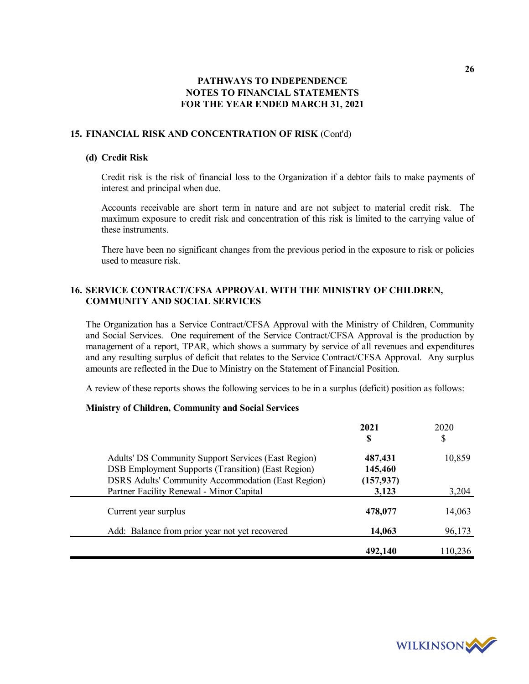## **15. FINANCIAL RISK AND CONCENTRATION OF RISK** (Cont'd)

### **(d) Credit Risk**

Credit risk is the risk of financial loss to the Organization if a debtor fails to make payments of interest and principal when due.

Accounts receivable are short term in nature and are not subject to material credit risk. The maximum exposure to credit risk and concentration of this risk is limited to the carrying value of these instruments.

There have been no significant changes from the previous period in the exposure to risk or policies used to measure risk.

## **16. SERVICE CONTRACT/CFSA APPROVAL WITH THE MINISTRY OF CHILDREN, COMMUNITY AND SOCIAL SERVICES**

The Organization has a Service Contract/CFSA Approval with the Ministry of Children, Community and Social Services. One requirement of the Service Contract/CFSA Approval is the production by management of a report, TPAR, which shows a summary by service of all revenues and expenditures and any resulting surplus of deficit that relates to the Service Contract/CFSA Approval. Any surplus amounts are reflected in the Due to Ministry on the Statement of Financial Position.

A review of these reports shows the following services to be in a surplus (deficit) position as follows:

### **Ministry of Children, Community and Social Services**

|                                                                                                                                                                        | 2021<br>S                        | 2020<br>\$ |
|------------------------------------------------------------------------------------------------------------------------------------------------------------------------|----------------------------------|------------|
| Adults' DS Community Support Services (East Region)<br>DSB Employment Supports (Transition) (East Region)<br><b>DSRS Adults' Community Accommodation (East Region)</b> | 487,431<br>145,460<br>(157, 937) | 10,859     |
| Partner Facility Renewal - Minor Capital                                                                                                                               | 3,123                            | 3,204      |
| Current year surplus                                                                                                                                                   | 478,077                          | 14,063     |
| Add: Balance from prior year not yet recovered                                                                                                                         | 14,063                           | 96,173     |
|                                                                                                                                                                        | 492,140                          | 110,236    |

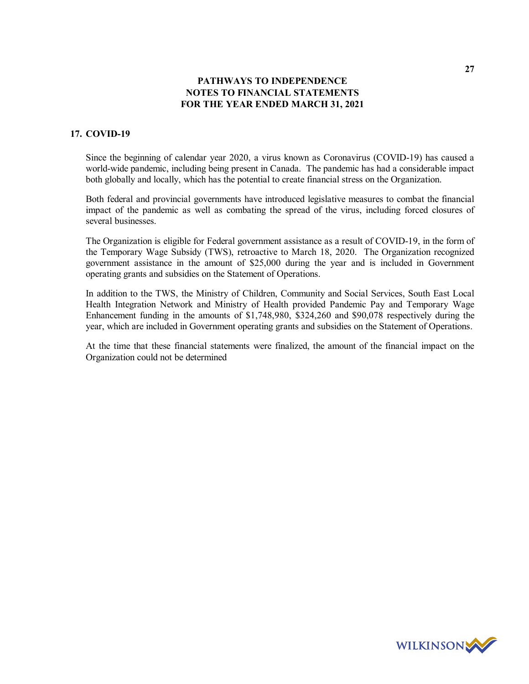## **17. COVID-19**

Since the beginning of calendar year 2020, a virus known as Coronavirus (COVID-19) has caused a world-wide pandemic, including being present in Canada. The pandemic has had a considerable impact both globally and locally, which has the potential to create financial stress on the Organization.

Both federal and provincial governments have introduced legislative measures to combat the financial impact of the pandemic as well as combating the spread of the virus, including forced closures of several businesses.

The Organization is eligible for Federal government assistance as a result of COVID-19, in the form of the Temporary Wage Subsidy (TWS), retroactive to March 18, 2020. The Organization recognized government assistance in the amount of \$25,000 during the year and is included in Government operating grants and subsidies on the Statement of Operations.

In addition to the TWS, the Ministry of Children, Community and Social Services, South East Local Health Integration Network and Ministry of Health provided Pandemic Pay and Temporary Wage Enhancement funding in the amounts of \$1,748,980, \$324,260 and \$90,078 respectively during the year, which are included in Government operating grants and subsidies on the Statement of Operations.

At the time that these financial statements were finalized, the amount of the financial impact on the Organization could not be determined

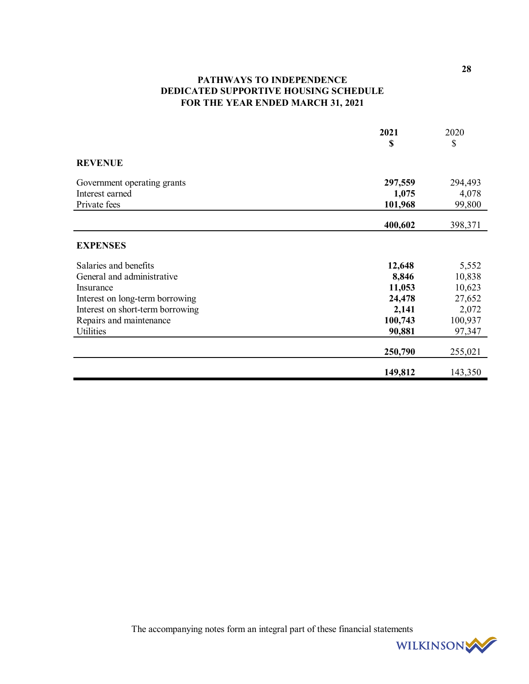# **PATHWAYS TO INDEPENDENCE DEDICATED SUPPORTIVE HOUSING SCHEDULE FOR THE YEAR ENDED MARCH 31, 2021**

|                                  | 2021    | 2020    |
|----------------------------------|---------|---------|
|                                  | \$      | \$      |
| <b>REVENUE</b>                   |         |         |
| Government operating grants      | 297,559 | 294,493 |
| Interest earned                  | 1,075   | 4,078   |
| Private fees                     | 101,968 | 99,800  |
|                                  | 400,602 | 398,371 |
| <b>EXPENSES</b>                  |         |         |
| Salaries and benefits            | 12,648  | 5,552   |
| General and administrative       | 8,846   | 10,838  |
| Insurance                        | 11,053  | 10,623  |
| Interest on long-term borrowing  | 24,478  | 27,652  |
| Interest on short-term borrowing | 2,141   | 2,072   |
| Repairs and maintenance          | 100,743 | 100,937 |
| Utilities                        | 90,881  | 97,347  |
|                                  | 250,790 | 255,021 |
|                                  | 149,812 | 143,350 |

The accompanying notes form an integral part of these financial statements